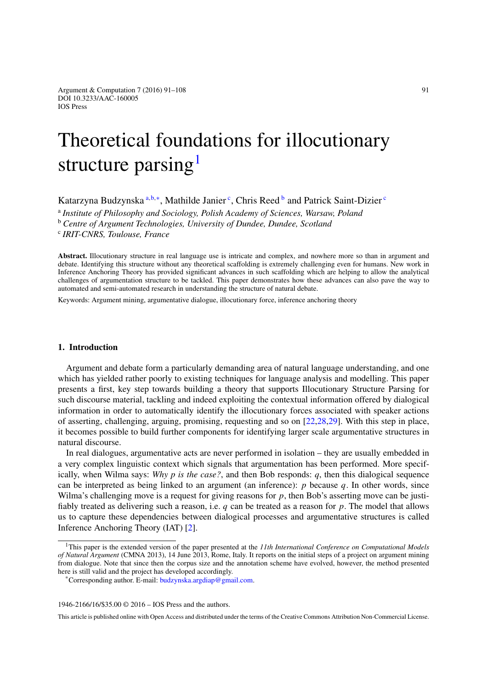# Theoretical foun[d](#page-0-0)ations for illocutionary structure parsing<sup>1</sup>

<span id="page-0-1"></span>K[a](#page-0-1)tarzyna Budzynska<sup>a,[b](#page-0-2),[∗](#page-0-3)</sup>, Mathilde Janier<sup>[c](#page-0-4)</sup>, Chris Reed b and Patrick Saint-Dizier<sup>c</sup>

<span id="page-0-2"></span><sup>a</sup> *Institute of Philosophy and Sociology, Polish Academy of Sciences, Warsaw, Poland*

<span id="page-0-4"></span><sup>b</sup> *Centre of Argument Technologies, University of Dundee, Dundee, Scotland*

<sup>c</sup> *IRIT-CNRS, Toulouse, France*

**Abstract.** Illocutionary structure in real language use is intricate and complex, and nowhere more so than in argument and debate. Identifying this structure without any theoretical scaffolding is extremely challenging even for humans. New work in Inference Anchoring Theory has provided significant advances in such scaffolding which are helping to allow the analytical challenges of argumentation structure to be tackled. This paper demonstrates how these advances can also pave the way to automated and semi-automated research in understanding the structure of natural debate.

Keywords: Argument mining, argumentative dialogue, illocutionary force, inference anchoring theory

# **1. Introduction**

Argument and debate form a particularly demanding area of natural language understanding, and one which has yielded rather poorly to existing techniques for language analysis and modelling. This paper presents a first, key step towards building a theory that supports Illocutionary Structure Parsing for such discourse material, tackling and indeed exploiting the contextual information offered by dialogical information in order to automatically identify the illocutionary forces associated with speaker actions of asserting, challenging, arguing, promising, requesting and so on [\[22](#page-16-0)[,28](#page-16-1)[,29](#page-16-2)]. With this step in place, it becomes possible to build further components for identifying larger scale argumentative structures in natural discourse.

In real dialogues, argumentative acts are never performed in isolation – they are usually embedded in a very complex linguistic context which signals that argumentation has been performed. More specifically, when Wilma says: *Why p is the case?*, and then Bob responds: *q*, then this dialogical sequence can be interpreted as being linked to an argument (an inference): *p* because *q*. In other words, since Wilma's challenging move is a request for giving reasons for p, then Bob's asserting move can be justifiably treated as delivering such a reason, i.e. *q* can be treated as a reason for *p*. The model that allows us to capture these dependencies between dialogical processes and argumentative structures is called Inference Anchoring Theory (IAT) [\[2](#page-16-3)].

1946-2166/16/\$35.00 © 2016 – IOS Press and the authors.

This article is published online with Open Access and distributed under the terms of the Creative Commons Attribution Non-Commercial License.

<span id="page-0-0"></span><sup>1</sup>This paper is the extended version of the paper presented at the *11th International Conference on Computational Models of Natural Argument* (CMNA 2013), 14 June 2013, Rome, Italy. It reports on the initial steps of a project on argument mining from dialogue. Note that since then the corpus size and the annotation scheme have evolved, however, the method presented here is still valid and the project has developed accordingly.

<span id="page-0-3"></span><sup>\*</sup>Corresponding author. E-mail: [budzynska.argdiap@gmail.com.](mailto:budzynska.argdiap@gmail.com)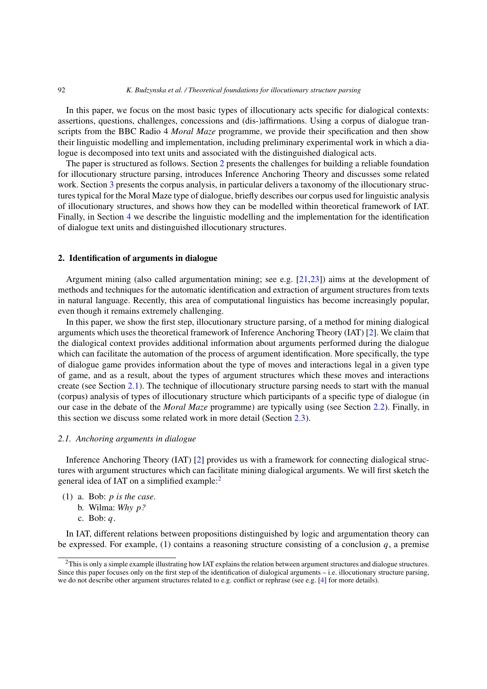In this paper, we focus on the most basic types of illocutionary acts specific for dialogical contexts: assertions, questions, challenges, concessions and (dis-)affirmations. Using a corpus of dialogue transcripts from the BBC Radio 4 *Moral Maze* programme, we provide their specification and then show their linguistic modelling and implementation, including preliminary experimental work in which a dialogue is decomposed into text units and associated with the distinguished dialogical acts.

The paper is structured as follows. Section [2](#page-1-0) presents the challenges for building a reliable foundation for illocutionary structure parsing, introduces Inference Anchoring Theory and discusses some related work. Section [3](#page-6-0) presents the corpus analysis, in particular delivers a taxonomy of the illocutionary structures typical for the Moral Maze type of dialogue, briefly describes our corpus used for linguistic analysis of illocutionary structures, and shows how they can be modelled within theoretical framework of IAT. Finally, in Section [4](#page-11-0) we describe the linguistic modelling and the implementation for the identification of dialogue text units and distinguished illocutionary structures.

# <span id="page-1-0"></span>**2. Identification of arguments in dialogue**

Argument mining (also called argumentation mining; see e.g. [\[21](#page-16-4)[,23](#page-16-5)]) aims at the development of methods and techniques for the automatic identification and extraction of argument structures from texts in natural language. Recently, this area of computational linguistics has become increasingly popular, even though it remains extremely challenging.

In this paper, we show the first step, illocutionary structure parsing, of a method for mining dialogical arguments which uses the theoretical framework of Inference Anchoring Theory (IAT) [\[2](#page-16-3)]. We claim that the dialogical context provides additional information about arguments performed during the dialogue which can facilitate the automation of the process of argument identification. More specifically, the type of dialogue game provides information about the type of moves and interactions legal in a given type of game, and as a result, about the types of argument structures which these moves and interactions create (see Section [2.1\)](#page-1-1). The technique of illocutionary structure parsing needs to start with the manual (corpus) analysis of types of illocutionary structure which participants of a specific type of dialogue (in our case in the debate of the *Moral Maze* programme) are typically using (see Section [2.2\)](#page-3-0). Finally, in this section we discuss some related work in more detail (Section [2.3\)](#page-4-0).

# <span id="page-1-1"></span>*2.1. Anchoring arguments in dialogue*

Inference Anchoring Theory (IAT) [\[2\]](#page-16-3) provides us with a framework for connecting dialogical structures with argument structures which can facilitate mining dialogical arguments. We will first sketch the general idea of IAT on a simplified example:<sup>2</sup>

- (1) a. Bob: *p is the case*.
	- b. Wilma: *Why p?*
	- c. Bob: *q*.

In IAT, different relations between propositions distinguished by logic and argumentation theory can be expressed. For example, (1) contains a reasoning structure consisting of a conclusion  $q$ , a premise

<span id="page-1-2"></span> $2$ This is only a simple example illustrating how IAT explains the relation between argument structures and dialogue structures. Since this paper focuses only on the first step of the identification of dialogical arguments – i.e. illocutionary structure parsing, we do not describe other argument structures related to e.g. conflict or rephrase (see e.g. [\[4](#page-16-6)] for more details).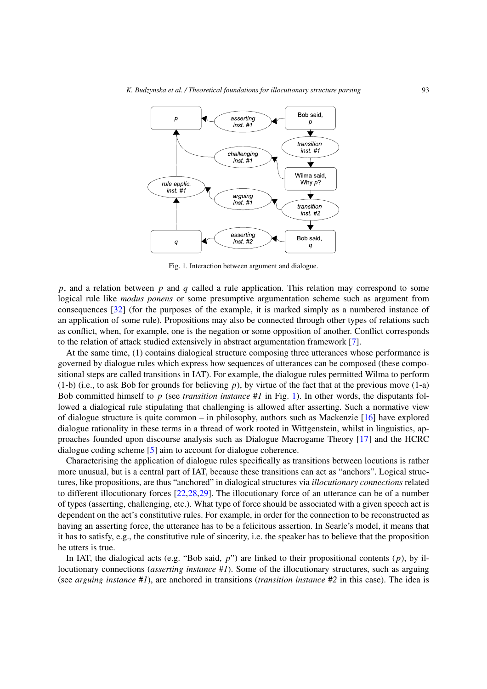

<span id="page-2-0"></span>Fig. 1. Interaction between argument and dialogue.

*p*, and a relation between *p* and *q* called a rule application. This relation may correspond to some logical rule like *modus ponens* or some presumptive argumentation scheme such as argument from consequences [\[32\]](#page-17-0) (for the purposes of the example, it is marked simply as a numbered instance of an application of some rule). Propositions may also be connected through other types of relations such as conflict, when, for example, one is the negation or some opposition of another. Conflict corresponds to the relation of attack studied extensively in abstract argumentation framework [\[7](#page-16-7)].

At the same time, (1) contains dialogical structure composing three utterances whose performance is governed by dialogue rules which express how sequences of utterances can be composed (these compositional steps are called transitions in IAT). For example, the dialogue rules permitted Wilma to perform (1-b) (i.e., to ask Bob for grounds for believing *p*), by virtue of the fact that at the previous move (1-a) Bob committed himself to *p* (see *transition instance* #*1* in Fig. [1\)](#page-2-0). In other words, the disputants followed a dialogical rule stipulating that challenging is allowed after asserting. Such a normative view of dialogue structure is quite common – in philosophy, authors such as Mackenzie [\[16\]](#page-16-8) have explored dialogue rationality in these terms in a thread of work rooted in Wittgenstein, whilst in linguistics, approaches founded upon discourse analysis such as Dialogue Macrogame Theory [\[17](#page-16-9)] and the HCRC dialogue coding scheme [\[5\]](#page-16-10) aim to account for dialogue coherence.

Characterising the application of dialogue rules specifically as transitions between locutions is rather more unusual, but is a central part of IAT, because these transitions can act as "anchors". Logical structures, like propositions, are thus "anchored" in dialogical structures via *illocutionary connections* related to different illocutionary forces [\[22](#page-16-0)[,28](#page-16-1)[,29\]](#page-16-2). The illocutionary force of an utterance can be of a number of types (asserting, challenging, etc.). What type of force should be associated with a given speech act is dependent on the act's constitutive rules. For example, in order for the connection to be reconstructed as having an asserting force, the utterance has to be a felicitous assertion. In Searle's model, it means that it has to satisfy, e.g., the constitutive rule of sincerity, i.e. the speaker has to believe that the proposition he utters is true.

In IAT, the dialogical acts (e.g. "Bob said, *p*") are linked to their propositional contents (*p*), by illocutionary connections (*asserting instance* #*1*). Some of the illocutionary structures, such as arguing (see *arguing instance* #*1*), are anchored in transitions (*transition instance* #*2* in this case). The idea is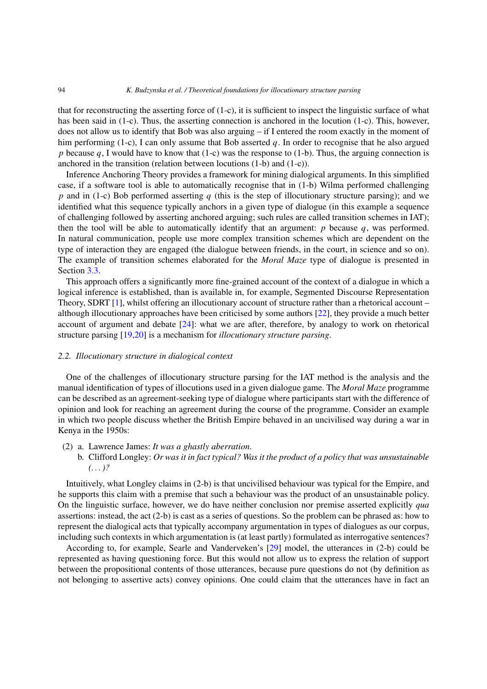that for reconstructing the asserting force of  $(1-c)$ , it is sufficient to inspect the linguistic surface of what has been said in (1-c). Thus, the asserting connection is anchored in the locution (1-c). This, however, does not allow us to identify that Bob was also arguing – if I entered the room exactly in the moment of him performing (1-c), I can only assume that Bob asserted *q*. In order to recognise that he also argued *p* because *q*, I would have to know that (1-c) was the response to (1-b). Thus, the arguing connection is anchored in the transition (relation between locutions (1-b) and (1-c)).

Inference Anchoring Theory provides a framework for mining dialogical arguments. In this simplified case, if a software tool is able to automatically recognise that in (1-b) Wilma performed challenging *p* and in (1-c) Bob performed asserting *q* (this is the step of illocutionary structure parsing); and we identified what this sequence typically anchors in a given type of dialogue (in this example a sequence of challenging followed by asserting anchored arguing; such rules are called transition schemes in IAT); then the tool will be able to automatically identify that an argument:  $p$  because  $q$ , was performed. In natural communication, people use more complex transition schemes which are dependent on the type of interaction they are engaged (the dialogue between friends, in the court, in science and so on). The example of transition schemes elaborated for the *Moral Maze* type of dialogue is presented in Section [3.3.](#page-9-0)

This approach offers a significantly more fine-grained account of the context of a dialogue in which a logical inference is established, than is available in, for example, Segmented Discourse Representation Theory, SDRT [\[1\]](#page-16-11), whilst offering an illocutionary account of structure rather than a rhetorical account – although illocutionary approaches have been criticised by some authors [\[22](#page-16-0)], they provide a much better account of argument and debate [\[24\]](#page-16-12): what we are after, therefore, by analogy to work on rhetorical structure parsing [\[19](#page-16-13)[,20](#page-16-14)] is a mechanism for *illocutionary structure parsing*.

# <span id="page-3-0"></span>*2.2. Illocutionary structure in dialogical context*

One of the challenges of illocutionary structure parsing for the IAT method is the analysis and the manual identification of types of illocutions used in a given dialogue game. The *Moral Maze* programme can be described as an agreement-seeking type of dialogue where participants start with the difference of opinion and look for reaching an agreement during the course of the programme. Consider an example in which two people discuss whether the British Empire behaved in an uncivilised way during a war in Kenya in the 1950s:

- (2) a. Lawrence James: *It was a ghastly aberration*.
	- b. Clifford Longley: *Or was it in fact typical? Was it the product of a policy that was unsustainable (. . . )?*

Intuitively, what Longley claims in (2-b) is that uncivilised behaviour was typical for the Empire, and he supports this claim with a premise that such a behaviour was the product of an unsustainable policy. On the linguistic surface, however, we do have neither conclusion nor premise asserted explicitly *qua* assertions: instead, the act (2-b) is cast as a series of questions. So the problem can be phrased as: how to represent the dialogical acts that typically accompany argumentation in types of dialogues as our corpus, including such contexts in which argumentation is (at least partly) formulated as interrogative sentences?

According to, for example, Searle and Vanderveken's [\[29](#page-16-2)] model, the utterances in (2-b) could be represented as having questioning force. But this would not allow us to express the relation of support between the propositional contents of those utterances, because pure questions do not (by definition as not belonging to assertive acts) convey opinions. One could claim that the utterances have in fact an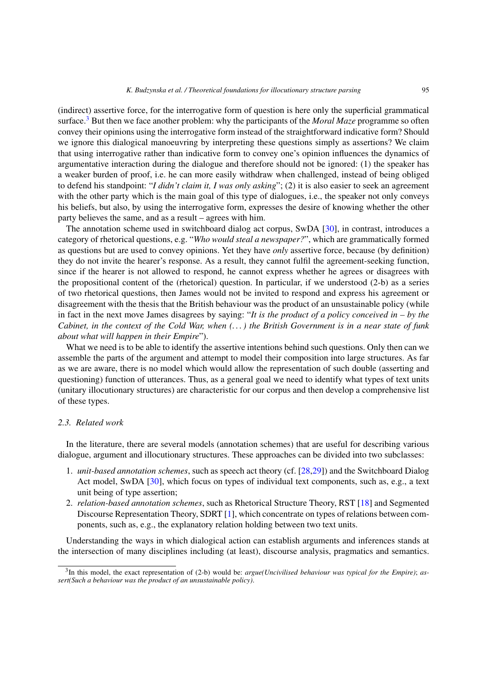(indirect) assertive force, for the interrogative form of question is here only the superficial grammatical surface[.3](#page-4-1) But then we face another problem: why the participants of the *Moral Maze* programme so often convey their opinions using the interrogative form instead of the straightforward indicative form? Should we ignore this dialogical manoeuvring by interpreting these questions simply as assertions? We claim that using interrogative rather than indicative form to convey one's opinion influences the dynamics of argumentative interaction during the dialogue and therefore should not be ignored: (1) the speaker has a weaker burden of proof, i.e. he can more easily withdraw when challenged, instead of being obliged to defend his standpoint: "*I didn't claim it, I was only asking*"; (2) it is also easier to seek an agreement with the other party which is the main goal of this type of dialogues, i.e., the speaker not only conveys his beliefs, but also, by using the interrogative form, expresses the desire of knowing whether the other party believes the same, and as a result – agrees with him.

The annotation scheme used in switchboard dialog act corpus, SwDA [\[30](#page-17-1)], in contrast, introduces a category of rhetorical questions, e.g. "*Who would steal a newspaper?*", which are grammatically formed as questions but are used to convey opinions. Yet they have *only* assertive force, because (by definition) they do not invite the hearer's response. As a result, they cannot fulfil the agreement-seeking function, since if the hearer is not allowed to respond, he cannot express whether he agrees or disagrees with the propositional content of the (rhetorical) question. In particular, if we understood (2-b) as a series of two rhetorical questions, then James would not be invited to respond and express his agreement or disagreement with the thesis that the British behaviour was the product of an unsustainable policy (while in fact in the next move James disagrees by saying: "*It is the product of a policy conceived in – by the Cabinet, in the context of the Cold War, when (. . . ) the British Government is in a near state of funk about what will happen in their Empire*").

What we need is to be able to identify the assertive intentions behind such questions. Only then can we assemble the parts of the argument and attempt to model their composition into large structures. As far as we are aware, there is no model which would allow the representation of such double (asserting and questioning) function of utterances. Thus, as a general goal we need to identify what types of text units (unitary illocutionary structures) are characteristic for our corpus and then develop a comprehensive list of these types.

# <span id="page-4-0"></span>*2.3. Related work*

In the literature, there are several models (annotation schemes) that are useful for describing various dialogue, argument and illocutionary structures. These approaches can be divided into two subclasses:

- 1. *unit-based annotation schemes*, such as speech act theory (cf. [\[28](#page-16-1)[,29\]](#page-16-2)) and the Switchboard Dialog Act model, SwDA [\[30](#page-17-1)], which focus on types of individual text components, such as, e.g., a text unit being of type assertion;
- 2. *relation-based annotation schemes*, such as Rhetorical Structure Theory, RST [\[18](#page-16-15)] and Segmented Discourse Representation Theory, SDRT [\[1](#page-16-11)], which concentrate on types of relations between components, such as, e.g., the explanatory relation holding between two text units.

Understanding the ways in which dialogical action can establish arguments and inferences stands at the intersection of many disciplines including (at least), discourse analysis, pragmatics and semantics.

<span id="page-4-1"></span><sup>3</sup>In this model, the exact representation of (2-b) would be: *argue(Uncivilised behaviour was typical for the Empire)*; *assert(Such a behaviour was the product of an unsustainable policy)*.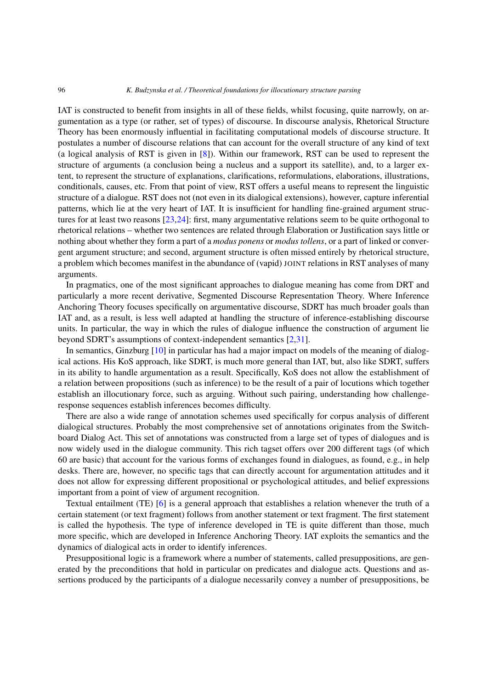# 96 *K. Budzynska et al. / Theoretical foundations for illocutionary structure parsing*

IAT is constructed to benefit from insights in all of these fields, whilst focusing, quite narrowly, on argumentation as a type (or rather, set of types) of discourse. In discourse analysis, Rhetorical Structure Theory has been enormously influential in facilitating computational models of discourse structure. It postulates a number of discourse relations that can account for the overall structure of any kind of text (a logical analysis of RST is given in [\[8](#page-16-16)]). Within our framework, RST can be used to represent the structure of arguments (a conclusion being a nucleus and a support its satellite), and, to a larger extent, to represent the structure of explanations, clarifications, reformulations, elaborations, illustrations, conditionals, causes, etc. From that point of view, RST offers a useful means to represent the linguistic structure of a dialogue. RST does not (not even in its dialogical extensions), however, capture inferential patterns, which lie at the very heart of IAT. It is insufficient for handling fine-grained argument structures for at least two reasons [\[23](#page-16-5)[,24](#page-16-12)]: first, many argumentative relations seem to be quite orthogonal to rhetorical relations – whether two sentences are related through Elaboration or Justification says little or nothing about whether they form a part of a *modus ponens* or *modus tollens*, or a part of linked or convergent argument structure; and second, argument structure is often missed entirely by rhetorical structure, a problem which becomes manifest in the abundance of (vapid) JOINT relations in RST analyses of many arguments.

In pragmatics, one of the most significant approaches to dialogue meaning has come from DRT and particularly a more recent derivative, Segmented Discourse Representation Theory. Where Inference Anchoring Theory focuses specifically on argumentative discourse, SDRT has much broader goals than IAT and, as a result, is less well adapted at handling the structure of inference-establishing discourse units. In particular, the way in which the rules of dialogue influence the construction of argument lie beyond SDRT's assumptions of context-independent semantics [\[2](#page-16-3)[,31\]](#page-17-2).

In semantics, Ginzburg [\[10](#page-16-17)] in particular has had a major impact on models of the meaning of dialogical actions. His KoS approach, like SDRT, is much more general than IAT, but, also like SDRT, suffers in its ability to handle argumentation as a result. Specifically, KoS does not allow the establishment of a relation between propositions (such as inference) to be the result of a pair of locutions which together establish an illocutionary force, such as arguing. Without such pairing, understanding how challengeresponse sequences establish inferences becomes difficulty.

There are also a wide range of annotation schemes used specifically for corpus analysis of different dialogical structures. Probably the most comprehensive set of annotations originates from the Switchboard Dialog Act. This set of annotations was constructed from a large set of types of dialogues and is now widely used in the dialogue community. This rich tagset offers over 200 different tags (of which 60 are basic) that account for the various forms of exchanges found in dialogues, as found, e.g., in help desks. There are, however, no specific tags that can directly account for argumentation attitudes and it does not allow for expressing different propositional or psychological attitudes, and belief expressions important from a point of view of argument recognition.

Textual entailment (TE) [\[6\]](#page-16-18) is a general approach that establishes a relation whenever the truth of a certain statement (or text fragment) follows from another statement or text fragment. The first statement is called the hypothesis. The type of inference developed in TE is quite different than those, much more specific, which are developed in Inference Anchoring Theory. IAT exploits the semantics and the dynamics of dialogical acts in order to identify inferences.

Presuppositional logic is a framework where a number of statements, called presuppositions, are generated by the preconditions that hold in particular on predicates and dialogue acts. Questions and assertions produced by the participants of a dialogue necessarily convey a number of presuppositions, be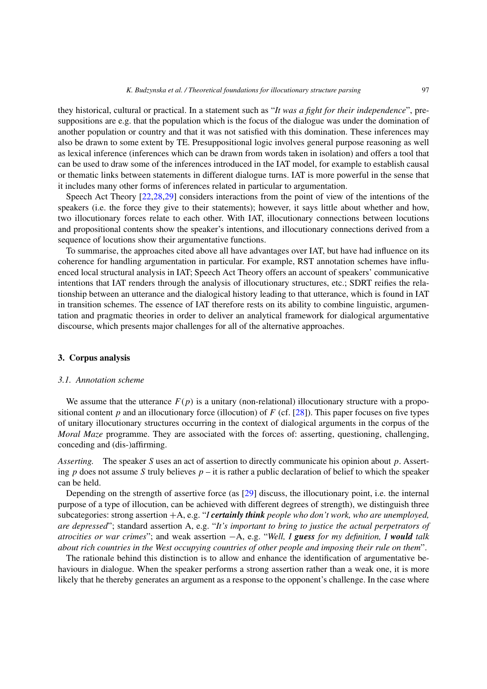they historical, cultural or practical. In a statement such as "*It was a fight for their independence*", presuppositions are e.g. that the population which is the focus of the dialogue was under the domination of another population or country and that it was not satisfied with this domination. These inferences may also be drawn to some extent by TE. Presuppositional logic involves general purpose reasoning as well as lexical inference (inferences which can be drawn from words taken in isolation) and offers a tool that can be used to draw some of the inferences introduced in the IAT model, for example to establish causal or thematic links between statements in different dialogue turns. IAT is more powerful in the sense that it includes many other forms of inferences related in particular to argumentation.

Speech Act Theory [\[22](#page-16-0)[,28](#page-16-1)[,29](#page-16-2)] considers interactions from the point of view of the intentions of the speakers (i.e. the force they give to their statements); however, it says little about whether and how, two illocutionary forces relate to each other. With IAT, illocutionary connections between locutions and propositional contents show the speaker's intentions, and illocutionary connections derived from a sequence of locutions show their argumentative functions.

To summarise, the approaches cited above all have advantages over IAT, but have had influence on its coherence for handling argumentation in particular. For example, RST annotation schemes have influenced local structural analysis in IAT; Speech Act Theory offers an account of speakers' communicative intentions that IAT renders through the analysis of illocutionary structures, etc.; SDRT reifies the relationship between an utterance and the dialogical history leading to that utterance, which is found in IAT in transition schemes. The essence of IAT therefore rests on its ability to combine linguistic, argumentation and pragmatic theories in order to deliver an analytical framework for dialogical argumentative discourse, which presents major challenges for all of the alternative approaches.

### <span id="page-6-0"></span>**3. Corpus analysis**

#### <span id="page-6-1"></span>*3.1. Annotation scheme*

We assume that the utterance  $F(p)$  is a unitary (non-relational) illocutionary structure with a propositional content  $p$  and an illocutionary force (illocution) of  $F$  (cf. [\[28](#page-16-1)]). This paper focuses on five types of unitary illocutionary structures occurring in the context of dialogical arguments in the corpus of the *Moral Maze* programme. They are associated with the forces of: asserting, questioning, challenging, conceding and (dis-)affirming.

*Asserting.* The speaker *S* uses an act of assertion to directly communicate his opinion about *p*. Asserting *p* does not assume *S* truly believes  $p - it$  is rather a public declaration of belief to which the speaker can be held.

Depending on the strength of assertive force (as [\[29\]](#page-16-2) discuss, the illocutionary point, i.e. the internal purpose of a type of illocution, can be achieved with different degrees of strength), we distinguish three subcategories: strong assertion +A, e.g. "*I certainly think people who don't work, who are unemployed, are depressed*"; standard assertion A, e.g. "*It's important to bring to justice the actual perpetrators of atrocities or war crimes*"; and weak assertion −A, e.g. "*Well, I guess for my definition, I would talk about rich countries in the West occupying countries of other people and imposing their rule on them*".

The rationale behind this distinction is to allow and enhance the identification of argumentative behaviours in dialogue. When the speaker performs a strong assertion rather than a weak one, it is more likely that he thereby generates an argument as a response to the opponent's challenge. In the case where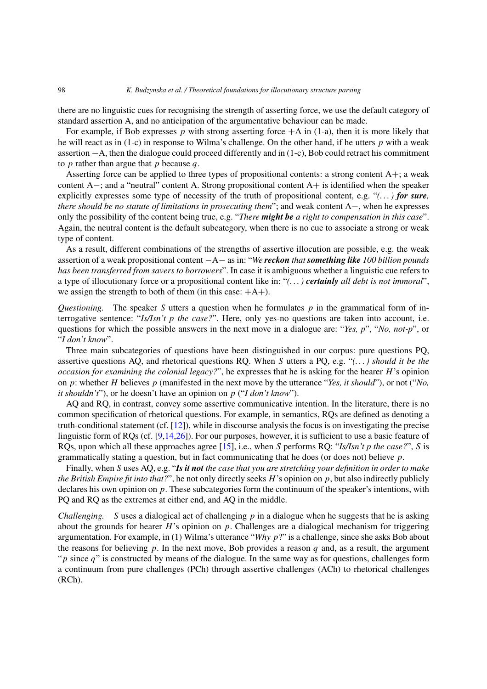there are no linguistic cues for recognising the strength of asserting force, we use the default category of standard assertion A, and no anticipation of the argumentative behaviour can be made.

For example, if Bob expresses  $p$  with strong asserting force  $+A$  in (1-a), then it is more likely that he will react as in (1-c) in response to Wilma's challenge. On the other hand, if he utters *p* with a weak assertion −A, then the dialogue could proceed differently and in (1-c), Bob could retract his commitment to *p* rather than argue that *p* because *q*.

Asserting force can be applied to three types of propositional contents: a strong content  $A+$ ; a weak content A−; and a "neutral" content A. Strong propositional content A+ is identified when the speaker explicitly expresses some type of necessity of the truth of propositional content, e.g. "*(. . . ) for sure, there should be no statute of limitations in prosecuting them*"; and weak content A−, when he expresses only the possibility of the content being true, e.g. "*There might be a right to compensation in this case*". Again, the neutral content is the default subcategory, when there is no cue to associate a strong or weak type of content.

As a result, different combinations of the strengths of assertive illocution are possible, e.g. the weak assertion of a weak propositional content −A− as in: "*We reckon that something like 100 billion pounds has been transferred from savers to borrowers*". In case it is ambiguous whether a linguistic cue refers to a type of illocutionary force or a propositional content like in: "*(. . . ) certainly all debt is not immoral*", we assign the strength to both of them (in this case:  $+A+$ ).

*Questioning.* The speaker *S* utters a question when he formulates *p* in the grammatical form of interrogative sentence: "*Is/Isn't p the case?*". Here, only yes-no questions are taken into account, i.e. questions for which the possible answers in the next move in a dialogue are: "*Yes, p*", "*No, not-p*", or "*I don't know*".

Three main subcategories of questions have been distinguished in our corpus: pure questions PQ, assertive questions AQ, and rhetorical questions RQ. When *S* utters a PQ, e.g. "*(. . . ) should it be the occasion for examining the colonial legacy?*", he expresses that he is asking for the hearer *H*'s opinion on *p*: whether *H* believes *p* (manifested in the next move by the utterance "*Yes, it should*"), or not ("*No, it shouldn't*"), or he doesn't have an opinion on *p* ("*I don't know*").

AQ and RQ, in contrast, convey some assertive communicative intention. In the literature, there is no common specification of rhetorical questions. For example, in semantics, RQs are defined as denoting a truth-conditional statement (cf. [\[12](#page-16-19)]), while in discourse analysis the focus is on investigating the precise linguistic form of RQs (cf. [\[9](#page-16-20)[,14](#page-16-21)[,26](#page-16-22)]). For our purposes, however, it is sufficient to use a basic feature of RQs, upon which all these approaches agree [\[15](#page-16-23)], i.e., when *S* performs RQ: "*Is/Isn't p the case?*", *S* is grammatically stating a question, but in fact communicating that he does (or does not) believe *p*.

Finally, when *S* uses AQ, e.g. "*Is it not the case that you are stretching your definition in order to make the British Empire fit into that?*", he not only directly seeks *H*'s opinion on *p*, but also indirectly publicly declares his own opinion on *p*. These subcategories form the continuum of the speaker's intentions, with PQ and RQ as the extremes at either end, and AQ in the middle.

*Challenging. S* uses a dialogical act of challenging *p* in a dialogue when he suggests that he is asking about the grounds for hearer *H*'s opinion on *p*. Challenges are a dialogical mechanism for triggering argumentation. For example, in (1) Wilma's utterance "*Why p*?" is a challenge, since she asks Bob about the reasons for believing *p*. In the next move, Bob provides a reason *q* and, as a result, the argument "*p* since *q*" is constructed by means of the dialogue. In the same way as for questions, challenges form a continuum from pure challenges (PCh) through assertive challenges (ACh) to rhetorical challenges (RCh).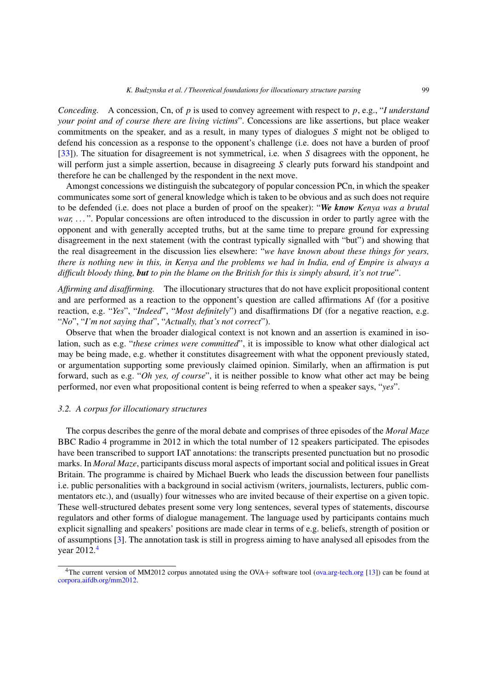*Conceding.* A concession, Cn, of *p* is used to convey agreement with respect to *p*, e.g., "*I understand your point and of course there are living victims*". Concessions are like assertions, but place weaker commitments on the speaker, and as a result, in many types of dialogues *S* might not be obliged to defend his concession as a response to the opponent's challenge (i.e. does not have a burden of proof [\[33](#page-17-3)]). The situation for disagreement is not symmetrical, i.e. when *S* disagrees with the opponent, he will perform just a simple assertion, because in disagreeing *S* clearly puts forward his standpoint and therefore he can be challenged by the respondent in the next move.

Amongst concessions we distinguish the subcategory of popular concession PCn, in which the speaker communicates some sort of general knowledge which is taken to be obvious and as such does not require to be defended (i.e. does not place a burden of proof on the speaker): "*We know Kenya was a brutal war, ...*". Popular concessions are often introduced to the discussion in order to partly agree with the opponent and with generally accepted truths, but at the same time to prepare ground for expressing disagreement in the next statement (with the contrast typically signalled with "but") and showing that the real disagreement in the discussion lies elsewhere: "*we have known about these things for years, there is nothing new in this, in Kenya and the problems we had in India, end of Empire is always a difficult bloody thing, but to pin the blame on the British for this is simply absurd, it's not true*".

*Affirming and disaffirming.* The illocutionary structures that do not have explicit propositional content and are performed as a reaction to the opponent's question are called affirmations Af (for a positive reaction, e.g. "*Yes*", "*Indeed*", "*Most definitely*") and disaffirmations Df (for a negative reaction, e.g. "*No*", "*I'm not saying that*", "*Actually, that's not correct*").

Observe that when the broader dialogical context is not known and an assertion is examined in isolation, such as e.g. "*these crimes were committed*", it is impossible to know what other dialogical act may be being made, e.g. whether it constitutes disagreement with what the opponent previously stated, or argumentation supporting some previously claimed opinion. Similarly, when an affirmation is put forward, such as e.g. "*Oh yes, of course*", it is neither possible to know what other act may be being performed, nor even what propositional content is being referred to when a speaker says, "*yes*".

# *3.2. A corpus for illocutionary structures*

The corpus describes the genre of the moral debate and comprises of three episodes of the *Moral Maze* BBC Radio 4 programme in 2012 in which the total number of 12 speakers participated. The episodes have been transcribed to support IAT annotations: the transcripts presented punctuation but no prosodic marks. In *Moral Maze*, participants discuss moral aspects of important social and political issues in Great Britain. The programme is chaired by Michael Buerk who leads the discussion between four panellists i.e. public personalities with a background in social activism (writers, journalists, lecturers, public commentators etc.), and (usually) four witnesses who are invited because of their expertise on a given topic. These well-structured debates present some very long sentences, several types of statements, discourse regulators and other forms of dialogue management. The language used by participants contains much explicit signalling and speakers' positions are made clear in terms of e.g. beliefs, strength of position or of assumptions [\[3](#page-16-24)]. The annotation task is still in progress aiming to have analysed all episodes from the year 2012[.4](#page-8-0)

<span id="page-8-0"></span><sup>&</sup>lt;sup>4</sup>The current version of MM2012 corpus annotated using the OVA+ software tool [\(ova.arg-tech.org](http://ova.arg-tech.org) [\[13\]](#page-16-25)) can be found at [corpora.aifdb.org/mm2012.](http://corpora.aifdb.org/mm2012)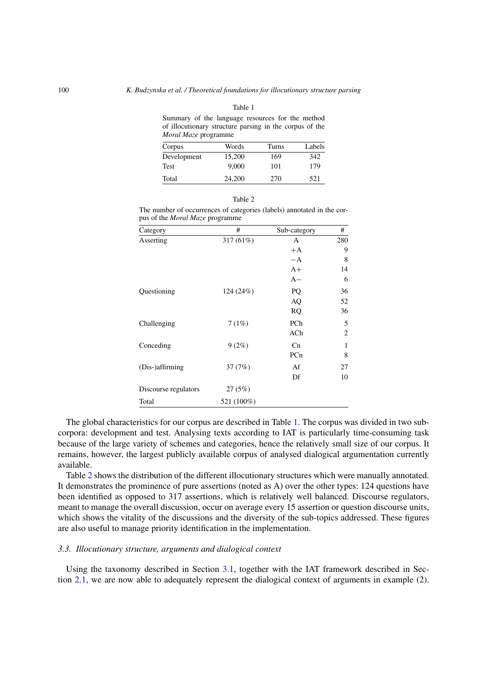|--|--|

<span id="page-9-1"></span>Summary of the language resources for the method of illocutionary structure parsing in the corpus of the *Moral Maze* programme

| Corpus      | Words  | Turns | Labels |
|-------------|--------|-------|--------|
| Development | 15,200 | 169   | 342    |
| Test        | 9.000  | 101   | 179    |
| Total       | 24,200 | 270   | 521    |

| I<br>٧<br>× |  |
|-------------|--|
|-------------|--|

<span id="page-9-2"></span>The number of occurrences of categories (labels) annotated in the corpus of the *Moral Maze* programme

| Category             | #          | Sub-category | #   |
|----------------------|------------|--------------|-----|
| Asserting            | 317(61%)   | A            | 280 |
|                      |            | $+A$         | 9   |
|                      |            | $-A$         | 8   |
|                      |            | $A+$         | 14  |
|                      |            | $A -$        | 6   |
| Questioning          | 124 (24%)  | PQ           | 36  |
|                      |            | AQ           | 52  |
|                      |            | RQ           | 36  |
| Challenging          | 7(1%)      | PCh          | 5   |
|                      |            | ACh          | 2   |
| Conceding            | 9(2%)      | Cn           | 1   |
|                      |            | PCn          | 8   |
| (Dis-)affirming      | 37(7%)     | Af           | 27  |
|                      |            | Df           | 10  |
| Discourse regulators | 27(5%)     |              |     |
| Total                | 521 (100%) |              |     |

The global characteristics for our corpus are described in Table [1.](#page-9-1) The corpus was divided in two subcorpora: development and test. Analysing texts according to IAT is particularly time-consuming task because of the large variety of schemes and categories, hence the relatively small size of our corpus. It remains, however, the largest publicly available corpus of analysed dialogical argumentation currently available.

Table [2](#page-9-2) shows the distribution of the different illocutionary structures which were manually annotated. It demonstrates the prominence of pure assertions (noted as A) over the other types: 124 questions have been identified as opposed to 317 assertions, which is relatively well balanced. Discourse regulators, meant to manage the overall discussion, occur on average every 15 assertion or question discourse units, which shows the vitality of the discussions and the diversity of the sub-topics addressed. These figures are also useful to manage priority identification in the implementation.

#### <span id="page-9-0"></span>*3.3. Illocutionary structure, arguments and dialogical context*

Using the taxonomy described in Section [3.1,](#page-6-1) together with the IAT framework described in Section [2.1,](#page-1-1) we are now able to adequately represent the dialogical context of arguments in example (2).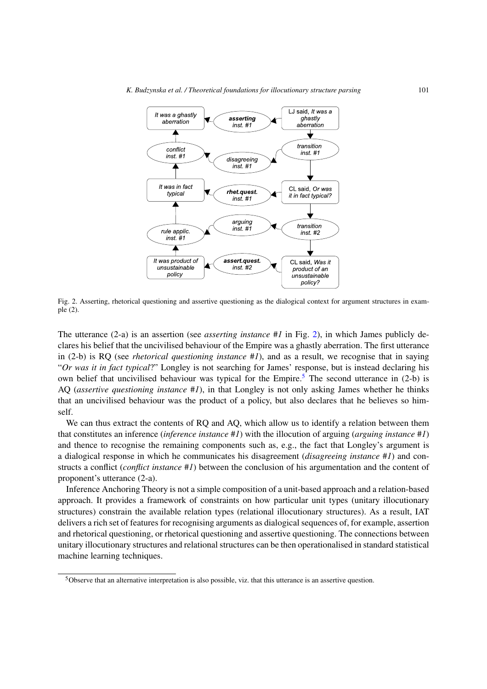

<span id="page-10-0"></span>Fig. 2. Asserting, rhetorical questioning and assertive questioning as the dialogical context for argument structures in example (2).

The utterance (2-a) is an assertion (see *asserting instance* #*1* in Fig. [2\)](#page-10-0), in which James publicly declares his belief that the uncivilised behaviour of the Empire was a ghastly aberration. The first utterance in (2-b) is RQ (see *rhetorical questioning instance* #*1*), and as a result, we recognise that in saying "*Or was it in fact typical*?" Longley is not searching for James' response, but is instead declaring his own belief that uncivilised behaviour was typical for the Empire.<sup>[5](#page-10-1)</sup> The second utterance in (2-b) is AQ (*assertive questioning instance* #*1*), in that Longley is not only asking James whether he thinks that an uncivilised behaviour was the product of a policy, but also declares that he believes so himself.

We can thus extract the contents of RQ and AQ, which allow us to identify a relation between them that constitutes an inference (*inference instance* #*1*) with the illocution of arguing (*arguing instance* #*1*) and thence to recognise the remaining components such as, e.g., the fact that Longley's argument is a dialogical response in which he communicates his disagreement (*disagreeing instance* #*1*) and constructs a conflict (*conflict instance* #*1*) between the conclusion of his argumentation and the content of proponent's utterance (2-a).

Inference Anchoring Theory is not a simple composition of a unit-based approach and a relation-based approach. It provides a framework of constraints on how particular unit types (unitary illocutionary structures) constrain the available relation types (relational illocutionary structures). As a result, IAT delivers a rich set of features for recognising arguments as dialogical sequences of, for example, assertion and rhetorical questioning, or rhetorical questioning and assertive questioning. The connections between unitary illocutionary structures and relational structures can be then operationalised in standard statistical machine learning techniques.

<span id="page-10-1"></span><sup>5</sup>Observe that an alternative interpretation is also possible, viz. that this utterance is an assertive question.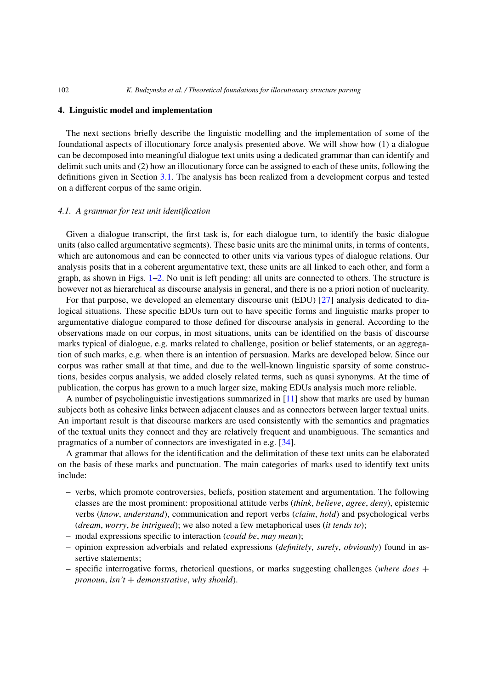## **4. Linguistic model and implementation**

The next sections briefly describe the linguistic modelling and the implementation of some of the foundational aspects of illocutionary force analysis presented above. We will show how (1) a dialogue can be decomposed into meaningful dialogue text units using a dedicated grammar than can identify and delimit such units and (2) how an illocutionary force can be assigned to each of these units, following the definitions given in Section [3.1.](#page-6-1) The analysis has been realized from a development corpus and tested on a different corpus of the same origin.

# *4.1. A grammar for text unit identification*

Given a dialogue transcript, the first task is, for each dialogue turn, to identify the basic dialogue units (also called argumentative segments). These basic units are the minimal units, in terms of contents, which are autonomous and can be connected to other units via various types of dialogue relations. Our analysis posits that in a coherent argumentative text, these units are all linked to each other, and form a graph, as shown in Figs.  $1-2$  $1-2$ . No unit is left pending: all units are connected to others. The structure is however not as hierarchical as discourse analysis in general, and there is no a priori notion of nuclearity.

For that purpose, we developed an elementary discourse unit (EDU) [\[27\]](#page-16-26) analysis dedicated to dialogical situations. These specific EDUs turn out to have specific forms and linguistic marks proper to argumentative dialogue compared to those defined for discourse analysis in general. According to the observations made on our corpus, in most situations, units can be identified on the basis of discourse marks typical of dialogue, e.g. marks related to challenge, position or belief statements, or an aggregation of such marks, e.g. when there is an intention of persuasion. Marks are developed below. Since our corpus was rather small at that time, and due to the well-known linguistic sparsity of some constructions, besides corpus analysis, we added closely related terms, such as quasi synonyms. At the time of publication, the corpus has grown to a much larger size, making EDUs analysis much more reliable.

A number of psycholinguistic investigations summarized in [\[11](#page-16-27)] show that marks are used by human subjects both as cohesive links between adjacent clauses and as connectors between larger textual units. An important result is that discourse markers are used consistently with the semantics and pragmatics of the textual units they connect and they are relatively frequent and unambiguous. The semantics and pragmatics of a number of connectors are investigated in e.g. [\[34](#page-17-4)].

A grammar that allows for the identification and the delimitation of these text units can be elaborated on the basis of these marks and punctuation. The main categories of marks used to identify text units include:

- verbs, which promote controversies, beliefs, position statement and argumentation. The following classes are the most prominent: propositional attitude verbs (*think*, *believe*, *agree*, *deny*), epistemic verbs (*know*, *understand*), communication and report verbs (*claim*, *hold*) and psychological verbs (*dream*, *worry*, *be intrigued*); we also noted a few metaphorical uses (*it tends to*);
- modal expressions specific to interaction (*could be*, *may mean*);
- opinion expression adverbials and related expressions (*definitely*, *surely*, *obviously*) found in assertive statements;
- specific interrogative forms, rhetorical questions, or marks suggesting challenges (*where does* + *pronoun*, *isn't* + *demonstrative*, *why should*).

<span id="page-11-0"></span>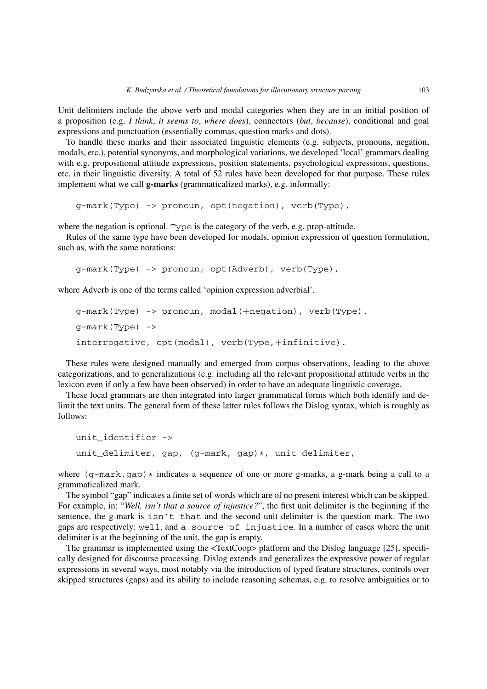Unit delimiters include the above verb and modal categories when they are in an initial position of a proposition (e.g. *I think*, *it seems to*, *where does*), connectors (*but*, *because*), conditional and goal expressions and punctuation (essentially commas, question marks and dots).

To handle these marks and their associated linguistic elements (e.g. subjects, pronouns, negation, modals, etc.), potential synonyms, and morphological variations, we developed 'local' grammars dealing with e.g. propositional attitude expressions, position statements, psychological expressions, questions, etc. in their linguistic diversity. A total of 52 rules have been developed for that purpose. These rules implement what we call **g-marks** (grammaticalized marks), e.g. informally:

g-mark(Type) -> pronoun, opt(negation), verb(Type),

where the negation is optional. Type is the category of the verb, e.g. prop-attitude.

Rules of the same type have been developed for modals, opinion expression of question formulation, such as, with the same notations:

g-mark(Type) -> pronoun, opt(Adverb), verb(Type),

where Adverb is one of the terms called 'opinion expression adverbial'.

```
g-mark(Type) -> pronoun, modal(+negation), verb(Type).
g-mark(Type) ->
interrogative, opt(modal), verb(Type,+infinitive).
```
These rules were designed manually and emerged from corpus observations, leading to the above categorizations, and to generalizations (e.g. including all the relevant propositional attitude verbs in the lexicon even if only a few have been observed) in order to have an adequate linguistic coverage.

These local grammars are then integrated into larger grammatical forms which both identify and delimit the text units. The general form of these latter rules follows the Dislog syntax, which is roughly as follows:

```
unit identifier ->
unit_delimiter, gap, (g-mark, gap) *, unit delimiter,
```
where  $(q - mark, qap) *$  indicates a sequence of one or more g-marks, a g-mark being a call to a grammaticalized mark.

The symbol "gap" indicates a finite set of words which are of no present interest which can be skipped. For example, in: "*Well, isn't that a source of injustice?*", the first unit delimiter is the beginning if the sentence, the g-mark is isn't that and the second unit delimiter is the question mark. The two gaps are respectively: well, and a source of injustice. In a number of cases where the unit delimiter is at the beginning of the unit, the gap is empty.

The grammar is implemented using the <TextCoop> platform and the Dislog language [\[25\]](#page-16-28), specifically designed for discourse processing. Dislog extends and generalizes the expressive power of regular expressions in several ways, most notably via the introduction of typed feature structures, controls over skipped structures (gaps) and its ability to include reasoning schemas, e.g. to resolve ambiguities or to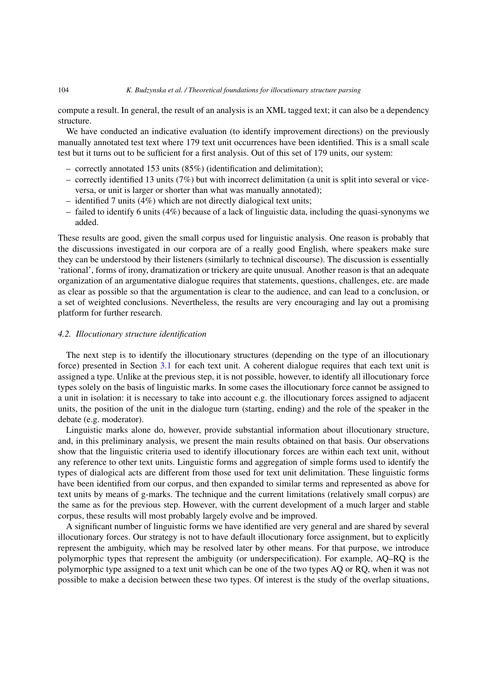# 104 *K. Budzynska et al. / Theoretical foundations for illocutionary structure parsing*

compute a result. In general, the result of an analysis is an XML tagged text; it can also be a dependency structure.

We have conducted an indicative evaluation (to identify improvement directions) on the previously manually annotated test text where 179 text unit occurrences have been identified. This is a small scale test but it turns out to be sufficient for a first analysis. Out of this set of 179 units, our system:

- correctly annotated 153 units (85%) (identification and delimitation);
- correctly identified 13 units (7%) but with incorrect delimitation (a unit is split into several or viceversa, or unit is larger or shorter than what was manually annotated);
- identified 7 units (4%) which are not directly dialogical text units;
- failed to identify 6 units (4%) because of a lack of linguistic data, including the quasi-synonyms we added.

These results are good, given the small corpus used for linguistic analysis. One reason is probably that the discussions investigated in our corpora are of a really good English, where speakers make sure they can be understood by their listeners (similarly to technical discourse). The discussion is essentially 'rational', forms of irony, dramatization or trickery are quite unusual. Another reason is that an adequate organization of an argumentative dialogue requires that statements, questions, challenges, etc. are made as clear as possible so that the argumentation is clear to the audience, and can lead to a conclusion, or a set of weighted conclusions. Nevertheless, the results are very encouraging and lay out a promising platform for further research.

# *4.2. Illocutionary structure identification*

The next step is to identify the illocutionary structures (depending on the type of an illocutionary force) presented in Section [3.1](#page-6-1) for each text unit. A coherent dialogue requires that each text unit is assigned a type. Unlike at the previous step, it is not possible, however, to identify all illocutionary force types solely on the basis of linguistic marks. In some cases the illocutionary force cannot be assigned to a unit in isolation: it is necessary to take into account e.g. the illocutionary forces assigned to adjacent units, the position of the unit in the dialogue turn (starting, ending) and the role of the speaker in the debate (e.g. moderator).

Linguistic marks alone do, however, provide substantial information about illocutionary structure, and, in this preliminary analysis, we present the main results obtained on that basis. Our observations show that the linguistic criteria used to identify illocutionary forces are within each text unit, without any reference to other text units. Linguistic forms and aggregation of simple forms used to identify the types of dialogical acts are different from those used for text unit delimitation. These linguistic forms have been identified from our corpus, and then expanded to similar terms and represented as above for text units by means of g-marks. The technique and the current limitations (relatively small corpus) are the same as for the previous step. However, with the current development of a much larger and stable corpus, these results will most probably largely evolve and be improved.

A significant number of linguistic forms we have identified are very general and are shared by several illocutionary forces. Our strategy is not to have default illocutionary force assignment, but to explicitly represent the ambiguity, which may be resolved later by other means. For that purpose, we introduce polymorphic types that represent the ambiguity (or underspecification). For example, AQ–RQ is the polymorphic type assigned to a text unit which can be one of the two types AQ or RQ, when it was not possible to make a decision between these two types. Of interest is the study of the overlap situations,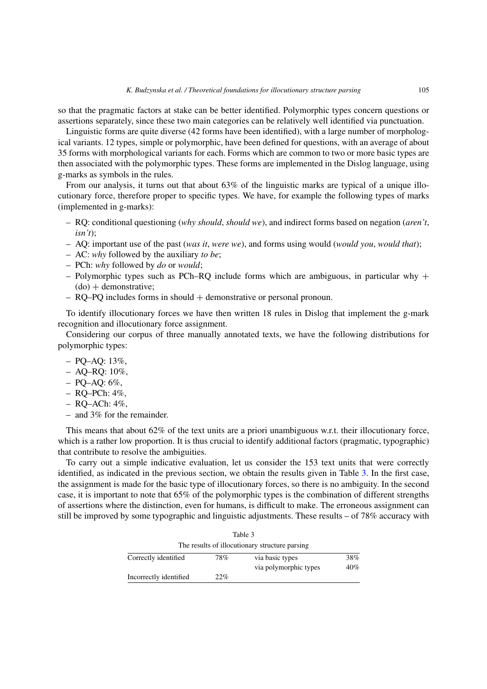so that the pragmatic factors at stake can be better identified. Polymorphic types concern questions or assertions separately, since these two main categories can be relatively well identified via punctuation.

Linguistic forms are quite diverse (42 forms have been identified), with a large number of morphological variants. 12 types, simple or polymorphic, have been defined for questions, with an average of about 35 forms with morphological variants for each. Forms which are common to two or more basic types are then associated with the polymorphic types. These forms are implemented in the Dislog language, using g-marks as symbols in the rules.

From our analysis, it turns out that about 63% of the linguistic marks are typical of a unique illocutionary force, therefore proper to specific types. We have, for example the following types of marks (implemented in g-marks):

- RQ: conditional questioning (*why should*, *should we*), and indirect forms based on negation (*aren't*, *isn't*);
- AQ: important use of the past (*was it*, *were we*), and forms using would (*would you*, *would that*);
- AC: *why* followed by the auxiliary *to be*;
- PCh: *why* followed by *do* or *would*;
- Polymorphic types such as PCh–RQ include forms which are ambiguous, in particular why  $+$  $(do)$  + demonstrative;
- RQ–PQ includes forms in should + demonstrative or personal pronoun.

To identify illocutionary forces we have then written 18 rules in Dislog that implement the g-mark recognition and illocutionary force assignment.

Considering our corpus of three manually annotated texts, we have the following distributions for polymorphic types:

- PQ–AQ: 13%,
- AQ–RQ: 10%,
- PQ–AQ: 6%,
- RQ–PCh: 4%,
- RQ–ACh: 4%,
- and 3% for the remainder.

This means that about 62% of the text units are a priori unambiguous w.r.t. their illocutionary force, which is a rather low proportion. It is thus crucial to identify additional factors (pragmatic, typographic) that contribute to resolve the ambiguities.

To carry out a simple indicative evaluation, let us consider the 153 text units that were correctly identified, as indicated in the previous section, we obtain the results given in Table [3.](#page-14-0) In the first case, the assignment is made for the basic type of illocutionary forces, so there is no ambiguity. In the second case, it is important to note that 65% of the polymorphic types is the combination of different strengths of assertions where the distinction, even for humans, is difficult to make. The erroneous assignment can still be improved by some typographic and linguistic adjustments. These results – of 78% accuracy with

<span id="page-14-0"></span>

| Table 3<br>The results of illocutionary structure parsing |     |                                          |            |  |  |
|-----------------------------------------------------------|-----|------------------------------------------|------------|--|--|
| Correctly identified                                      | 78% | via basic types<br>via polymorphic types | 38%<br>40% |  |  |
| Incorrectly identified                                    | 22% |                                          |            |  |  |

Table 3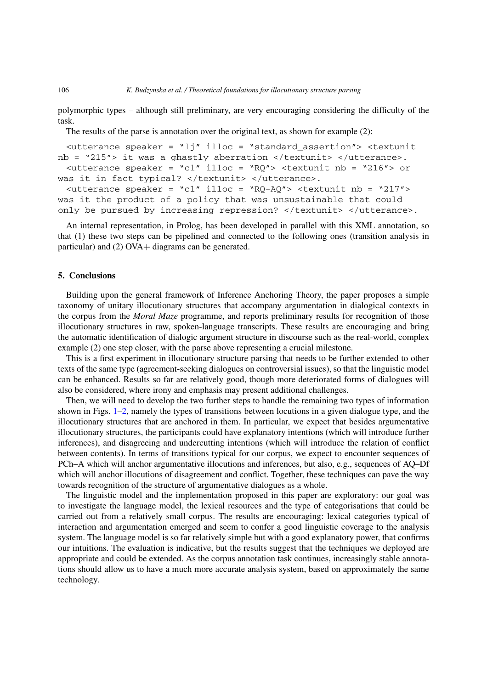polymorphic types – although still preliminary, are very encouraging considering the difficulty of the task.

The results of the parse is annotation over the original text, as shown for example (2):

```
<utterance speaker = "lj" illoc = "standard_assertion"> <textunit
nb = "215"> it was a ghastly aberration </textunit> </utterance>.
 \tau <utterance speaker = "cl" illoc = "RO"> <textunit nb = "216"> or
was it in fact typical? </textunit> </utterance>.
 <utterance speaker = "cl" illoc = "RQ-AQ"> <textunit nb = "217">
was it the product of a policy that was unsustainable that could
only be pursued by increasing repression? </textunit> </utterance>.
```
An internal representation, in Prolog, has been developed in parallel with this XML annotation, so that (1) these two steps can be pipelined and connected to the following ones (transition analysis in particular) and (2)  $OVA +$  diagrams can be generated.

# **5. Conclusions**

Building upon the general framework of Inference Anchoring Theory, the paper proposes a simple taxonomy of unitary illocutionary structures that accompany argumentation in dialogical contexts in the corpus from the *Moral Maze* programme, and reports preliminary results for recognition of those illocutionary structures in raw, spoken-language transcripts. These results are encouraging and bring the automatic identification of dialogic argument structure in discourse such as the real-world, complex example (2) one step closer, with the parse above representing a crucial milestone.

This is a first experiment in illocutionary structure parsing that needs to be further extended to other texts of the same type (agreement-seeking dialogues on controversial issues), so that the linguistic model can be enhanced. Results so far are relatively good, though more deteriorated forms of dialogues will also be considered, where irony and emphasis may present additional challenges.

Then, we will need to develop the two further steps to handle the remaining two types of information shown in Figs. [1–](#page-2-0)[2,](#page-10-0) namely the types of transitions between locutions in a given dialogue type, and the illocutionary structures that are anchored in them. In particular, we expect that besides argumentative illocutionary structures, the participants could have explanatory intentions (which will introduce further inferences), and disagreeing and undercutting intentions (which will introduce the relation of conflict between contents). In terms of transitions typical for our corpus, we expect to encounter sequences of PCh–A which will anchor argumentative illocutions and inferences, but also, e.g., sequences of AQ–Df which will anchor illocutions of disagreement and conflict. Together, these techniques can pave the way towards recognition of the structure of argumentative dialogues as a whole.

The linguistic model and the implementation proposed in this paper are exploratory: our goal was to investigate the language model, the lexical resources and the type of categorisations that could be carried out from a relatively small corpus. The results are encouraging: lexical categories typical of interaction and argumentation emerged and seem to confer a good linguistic coverage to the analysis system. The language model is so far relatively simple but with a good explanatory power, that confirms our intuitions. The evaluation is indicative, but the results suggest that the techniques we deployed are appropriate and could be extended. As the corpus annotation task continues, increasingly stable annotations should allow us to have a much more accurate analysis system, based on approximately the same technology.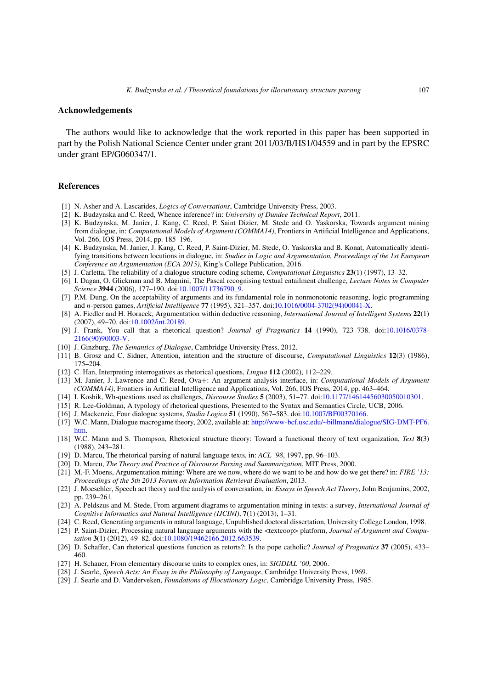#### **Acknowledgements**

The authors would like to acknowledge that the work reported in this paper has been supported in part by the Polish National Science Center under grant 2011/03/B/HS1/04559 and in part by the EPSRC under grant EP/G060347/1.

# **References**

- <span id="page-16-11"></span>[1] N. Asher and A. Lascarides, *Logics of Conversations*, Cambridge University Press, 2003.
- <span id="page-16-3"></span>[2] K. Budzynska and C. Reed, Whence inference? in: *University of Dundee Technical Report*, 2011.
- <span id="page-16-24"></span>[3] K. Budzynska, M. Janier, J. Kang, C. Reed, P. Saint Dizier, M. Stede and O. Yaskorska, Towards argument mining from dialogue, in: *Computational Models of Argument (COMMA14)*, Frontiers in Artificial Intelligence and Applications, Vol. 266, IOS Press, 2014, pp. 185–196.
- <span id="page-16-6"></span>[4] K. Budzynska, M. Janier, J. Kang, C. Reed, P. Saint-Dizier, M. Stede, O. Yaskorska and B. Konat, Automatically identifying transitions between locutions in dialogue, in: *Studies in Logic and Argumentation, Proceedings of the 1st European Conference on Argumentation (ECA 2015)*, King's College Publication, 2016.
- <span id="page-16-10"></span>[5] J. Carletta, The reliability of a dialogue structure coding scheme, *Computational Linguistics* **23**(1) (1997), 13–32.
- <span id="page-16-18"></span>[6] I. Dagan, O. Glickman and B. Magnini, The Pascal recognising textual entailment challenge, *Lecture Notes in Computer Science* **3944** (2006), 177–190. doi[:10.1007/11736790\\_9.](http://dx.doi.org/10.1007/11736790_9)
- <span id="page-16-7"></span>[7] P.M. Dung, On the acceptability of arguments and its fundamental role in nonmonotonic reasoning, logic programming and *n*-person games, *Artificial Intelligence* **77** (1995), 321–357. doi[:10.1016/0004-3702\(94\)00041-X.](http://dx.doi.org/10.1016/0004-3702(94)00041-X)
- <span id="page-16-16"></span>[8] A. Fiedler and H. Horacek, Argumentation within deductive reasoning, *International Journal of Intelligent Systems* **22**(1) (2007), 49–70. doi[:10.1002/int.20189.](http://dx.doi.org/10.1002/int.20189)
- <span id="page-16-20"></span>[9] J. Frank, You call that a rhetorical question? *Journal of Pragmatics* **14** (1990), 723–738. doi[:10.1016/0378-](http://dx.doi.org/10.1016/0378-2166(90)90003-V) [2166\(90\)90003-V.](http://dx.doi.org/10.1016/0378-2166(90)90003-V)
- <span id="page-16-17"></span>[10] J. Ginzburg, *The Semantics of Dialogue*, Cambridge University Press, 2012.
- <span id="page-16-27"></span>[11] B. Grosz and C. Sidner, Attention, intention and the structure of discourse, *Computational Linguistics* **12**(3) (1986), 175–204.
- <span id="page-16-19"></span>[12] C. Han, Interpreting interrogatives as rhetorical questions, *Lingua* **112** (2002), 112–229.
- <span id="page-16-25"></span>[13] M. Janier, J. Lawrence and C. Reed, Ova+: An argument analysis interface, in: *Computational Models of Argument (COMMA14)*, Frontiers in Artificial Intelligence and Applications, Vol. 266, IOS Press, 2014, pp. 463–464.
- <span id="page-16-21"></span>[14] I. Koshik, Wh-questions used as challenges, *Discourse Studies* **5** (2003), 51–77. doi[:10.1177/14614456030050010301.](http://dx.doi.org/10.1177/14614456030050010301)
- <span id="page-16-23"></span>[15] R. Lee-Goldman, A typology of rhetorical questions, Presented to the Syntax and Semantics Circle, UCB, 2006.
- <span id="page-16-8"></span>[16] J. Mackenzie, Four dialogue systems, *Studia Logica* **51** (1990), 567–583. doi[:10.1007/BF00370166.](http://dx.doi.org/10.1007/BF00370166)
- <span id="page-16-9"></span>[17] W.C. Mann, Dialogue macrogame theory, 2002, available at: [http://www-bcf.usc.edu/~billmann/dialogue/SIG-DMT-PF6.](http://www-bcf.usc.edu/~billmann/dialogue/SIG-DMT-PF6.htm) [htm.](http://www-bcf.usc.edu/~billmann/dialogue/SIG-DMT-PF6.htm)
- <span id="page-16-15"></span>[18] W.C. Mann and S. Thompson, Rhetorical structure theory: Toward a functional theory of text organization, *Text* **8**(3) (1988), 243–281.
- <span id="page-16-13"></span>[19] D. Marcu, The rhetorical parsing of natural language texts, in: *ACL '98*, 1997, pp. 96–103.
- <span id="page-16-14"></span>[20] D. Marcu, *The Theory and Practice of Discourse Parsing and Summarization*, MIT Press, 2000.
- <span id="page-16-4"></span>[21] M.-F. Moens, Argumentation mining: Where are we now, where do we want to be and how do we get there? in: *FIRE '13: Proceedings of the 5th 2013 Forum on Information Retrieval Evaluation*, 2013.
- <span id="page-16-0"></span>[22] J. Moeschler, Speech act theory and the analysis of conversation, in: *Essays in Speech Act Theory*, John Benjamins, 2002, pp. 239–261.
- <span id="page-16-5"></span>[23] A. Peldszus and M. Stede, From argument diagrams to argumentation mining in texts: a survey, *International Journal of Cognitive Informatics and Natural Intelligence (IJCINI)*, **7**(1) (2013), 1–31.
- <span id="page-16-12"></span>[24] C. Reed, Generating arguments in natural language, Unpublished doctoral dissertation, University College London, 1998.
- <span id="page-16-28"></span>[25] P. Saint-Dizier, Processing natural language arguments with the <textcoop> platform, *Journal of Argument and Computation* **3**(1) (2012), 49–82. doi[:10.1080/19462166.2012.663539.](http://dx.doi.org/10.1080/19462166.2012.663539)
- <span id="page-16-22"></span>[26] D. Schaffer, Can rhetorical questions function as retorts?: Is the pope catholic? *Journal of Pragmatics* **37** (2005), 433– 460.
- <span id="page-16-26"></span>[27] H. Schauer, From elementary discourse units to complex ones, in: *SIGDIAL '00*, 2006.
- <span id="page-16-1"></span>[28] J. Searle, *Speech Acts: An Essay in the Philosophy of Language*, Cambridge University Press, 1969.
- <span id="page-16-2"></span>[29] J. Searle and D. Vanderveken, *Foundations of Illocutionary Logic*, Cambridge University Press, 1985.